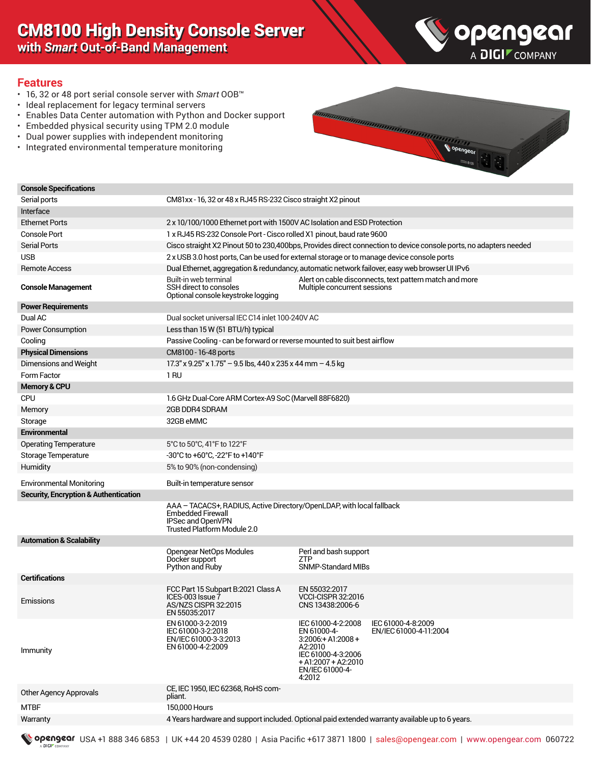# CM8100 High Density Console Server

**with** *Smart* **Out-of-Band Management**



#### **Features**

- 16, 32 or 48 port serial console server with *Smart* OOB™
- Ideal replacement for legacy terminal servers
- Enables Data Center automation with Python and Docker support
- Embedded physical security using TPM 2.0 module
- Dual power supplies with independent monitoring
- Integrated environmental temperature monitoring



| <b>Console Specifications</b>                    |                                                                                                                                                       |                                                                                                                                                  |                                                                                                                   |
|--------------------------------------------------|-------------------------------------------------------------------------------------------------------------------------------------------------------|--------------------------------------------------------------------------------------------------------------------------------------------------|-------------------------------------------------------------------------------------------------------------------|
| Serial ports                                     | CM81xx - 16, 32 or 48 x RJ45 RS-232 Cisco straight X2 pinout                                                                                          |                                                                                                                                                  |                                                                                                                   |
| Interface                                        |                                                                                                                                                       |                                                                                                                                                  |                                                                                                                   |
| <b>Ethernet Ports</b>                            | 2 x 10/100/1000 Ethernet port with 1500V AC Isolation and ESD Protection                                                                              |                                                                                                                                                  |                                                                                                                   |
| <b>Console Port</b>                              | 1 x RJ45 RS-232 Console Port - Cisco rolled X1 pinout, baud rate 9600                                                                                 |                                                                                                                                                  |                                                                                                                   |
| <b>Serial Ports</b>                              |                                                                                                                                                       |                                                                                                                                                  | Cisco straight X2 Pinout 50 to 230,400bps, Provides direct connection to device console ports, no adapters needed |
| <b>USB</b>                                       | 2 x USB 3.0 host ports, Can be used for external storage or to manage device console ports                                                            |                                                                                                                                                  |                                                                                                                   |
| <b>Remote Access</b>                             | Dual Ethernet, aggregation & redundancy, automatic network failover, easy web browser UI IPv6                                                         |                                                                                                                                                  |                                                                                                                   |
| <b>Console Management</b>                        | Built-in web terminal<br>SSH direct to consoles<br>Optional console keystroke logging                                                                 | Multiple concurrent sessions                                                                                                                     | Alert on cable disconnects, text pattern match and more                                                           |
| <b>Power Requirements</b>                        |                                                                                                                                                       |                                                                                                                                                  |                                                                                                                   |
| Dual AC                                          | Dual socket universal IEC C14 inlet 100-240V AC                                                                                                       |                                                                                                                                                  |                                                                                                                   |
| Power Consumption                                | Less than 15 W (51 BTU/h) typical                                                                                                                     |                                                                                                                                                  |                                                                                                                   |
| Cooling                                          | Passive Cooling - can be forward or reverse mounted to suit best airflow                                                                              |                                                                                                                                                  |                                                                                                                   |
| <b>Physical Dimensions</b>                       | CM8100 - 16-48 ports                                                                                                                                  |                                                                                                                                                  |                                                                                                                   |
| Dimensions and Weight                            | $17.3''$ x 9.25" x 1.75" - 9.5 lbs, 440 x 235 x 44 mm - 4.5 kg                                                                                        |                                                                                                                                                  |                                                                                                                   |
| Form Factor                                      | 1 <sub>RU</sub>                                                                                                                                       |                                                                                                                                                  |                                                                                                                   |
| <b>Memory &amp; CPU</b>                          |                                                                                                                                                       |                                                                                                                                                  |                                                                                                                   |
| <b>CPU</b>                                       | 1.6 GHz Dual-Core ARM Cortex-A9 SoC (Marvell 88F6820)                                                                                                 |                                                                                                                                                  |                                                                                                                   |
| Memory                                           | 2GB DDR4 SDRAM                                                                                                                                        |                                                                                                                                                  |                                                                                                                   |
| Storage                                          | 32GB eMMC                                                                                                                                             |                                                                                                                                                  |                                                                                                                   |
| Environmental                                    |                                                                                                                                                       |                                                                                                                                                  |                                                                                                                   |
| <b>Operating Temperature</b>                     | 5°C to 50°C, 41°F to 122°F                                                                                                                            |                                                                                                                                                  |                                                                                                                   |
| Storage Temperature                              | -30°C to +60°C, -22°F to +140°F                                                                                                                       |                                                                                                                                                  |                                                                                                                   |
| Humidity                                         | 5% to 90% (non-condensing)                                                                                                                            |                                                                                                                                                  |                                                                                                                   |
| <b>Environmental Monitoring</b>                  | Built-in temperature sensor                                                                                                                           |                                                                                                                                                  |                                                                                                                   |
| <b>Security, Encryption &amp; Authentication</b> |                                                                                                                                                       |                                                                                                                                                  |                                                                                                                   |
|                                                  | AAA - TACACS+, RADIUS, Active Directory/OpenLDAP, with local fallback<br>Embedded Firewall<br><b>IPSec and OpenVPN</b><br>Trusted Platform Module 2.0 |                                                                                                                                                  |                                                                                                                   |
| <b>Automation &amp; Scalability</b>              |                                                                                                                                                       |                                                                                                                                                  |                                                                                                                   |
|                                                  | Opengear NetOps Modules<br>Docker support<br>Python and Ruby                                                                                          | Perl and bash support<br><b>ZTP</b><br>SNMP-Standard MIBs                                                                                        |                                                                                                                   |
| <b>Certifications</b>                            |                                                                                                                                                       |                                                                                                                                                  |                                                                                                                   |
| Emissions                                        | FCC Part 15 Subpart B:2021 Class A<br>ICES-003 Issue 7<br>AS/NZS CISPR 32:2015<br>EN 55035:2017                                                       | EN 55032:2017<br><b>VCCI-CISPR 32:2016</b><br>CNS 13438:2006-6                                                                                   |                                                                                                                   |
| Immunity                                         | EN 61000-3-2-2019<br>IEC 61000-3-2:2018<br>EN/IEC 61000-3-3:2013<br>EN 61000-4-2:2009                                                                 | IEC 61000-4-2:2008<br>EN 61000-4-<br>$3:2006 + A1:2008 +$<br>A2:2010<br>IEC 61000-4-3:2006<br>$+$ A1:2007 + A2:2010<br>EN/IEC 61000-4-<br>4:2012 | IEC 61000-4-8:2009<br>EN/IEC 61000-4-11:2004                                                                      |
| Other Agency Approvals                           | CE, IEC 1950, IEC 62368, RoHS com-<br>pliant.                                                                                                         |                                                                                                                                                  |                                                                                                                   |
| MTBF                                             | 150,000 Hours                                                                                                                                         |                                                                                                                                                  |                                                                                                                   |
| Warranty                                         | 4 Years hardware and support included. Optional paid extended warranty available up to 6 years.                                                       |                                                                                                                                                  |                                                                                                                   |